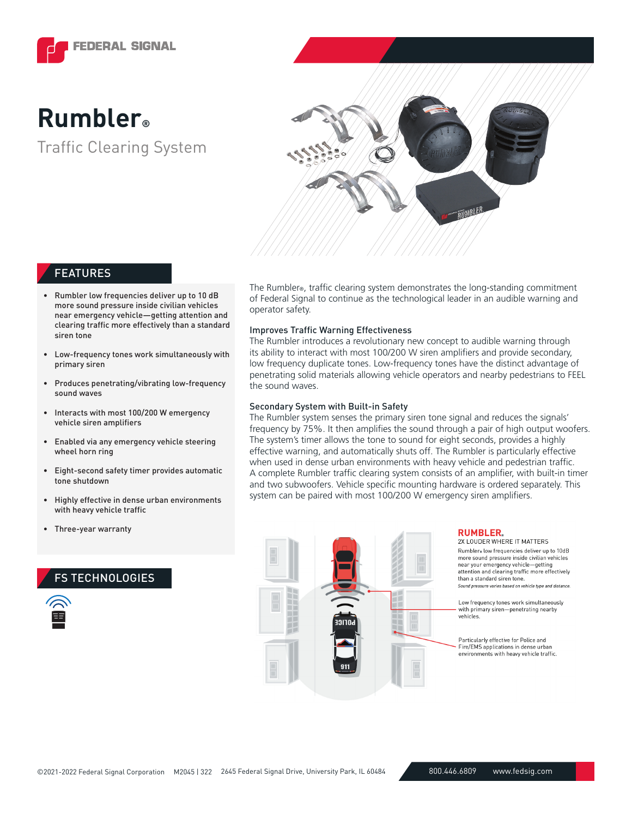

# Traffic Clearing System **Rumbler®**



## FEATURES

- Rumbler low frequencies deliver up to 10 dB more sound pressure inside civilian vehicles near emergency vehicle—getting attention and clearing traffic more effectively than a standard siren tone
- Low-frequency tones work simultaneously with primary siren
- Produces penetrating/vibrating low-frequency sound waves
- Interacts with most 100/200 W emergency vehicle siren amplifiers
- Enabled via any emergency vehicle steering wheel horn ring
- Eight-second safety timer provides automatic tone shutdown
- Highly effective in dense urban environments with heavy vehicle traffic
- Three-year warranty

## FS TECHNOLOGIES

The Rumbler®, traffic clearing system demonstrates the long-standing commitment of Federal Signal to continue as the technological leader in an audible warning and operator safety.

## Improves Traffic Warning Effectiveness

The Rumbler introduces a revolutionary new concept to audible warning through its ability to interact with most 100/200 W siren amplifiers and provide secondary, low frequency duplicate tones. Low-frequency tones have the distinct advantage of penetrating solid materials allowing vehicle operators and nearby pedestrians to FEEL the sound waves.

## Secondary System with Built-in Safety

The Rumbler system senses the primary siren tone signal and reduces the signals' frequency by 75%. It then amplifies the sound through a pair of high output woofers. The system's timer allows the tone to sound for eight seconds, provides a highly effective warning, and automatically shuts off. The Rumbler is particularly effective when used in dense urban environments with heavy vehicle and pedestrian traffic. A complete Rumbler traffic clearing system consists of an amplifier, with built-in timer and two subwoofers. Vehicle specific mounting hardware is ordered separately. This system can be paired with most 100/200 W emergency siren amplifiers.



#### **RUMBLER.**

2X LOUDER WHERE IT MATTERS Rumbler low frequencies deliver up to 10dB more sound pressure inside civilian vehicles near your emergency vehicle-getting attention and clearing traffic more effectively than a standard siren tone. Sound pressure varies based on vehicle type and distance

Low frequency tones work simultaneously with primary siren-penetrating nearby vehicles.

Particularly effective for Police and Fire/EMS applications in dense urban environments with heavy vehicle traffic.